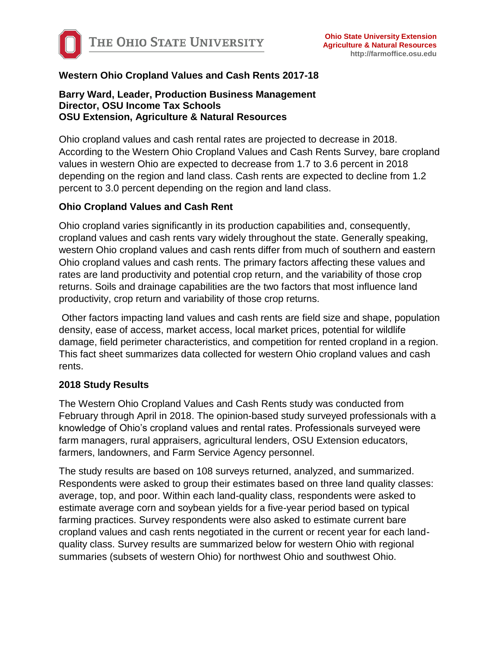

# **Western Ohio Cropland Values and Cash Rents 2017-18**

#### **Barry Ward, Leader, Production Business Management Director, OSU Income Tax Schools OSU Extension, Agriculture & Natural Resources**

Ohio cropland values and cash rental rates are projected to decrease in 2018. According to the Western Ohio Cropland Values and Cash Rents Survey, bare cropland values in western Ohio are expected to decrease from 1.7 to 3.6 percent in 2018 depending on the region and land class. Cash rents are expected to decline from 1.2 percent to 3.0 percent depending on the region and land class.

#### **Ohio Cropland Values and Cash Rent**

Ohio cropland varies significantly in its production capabilities and, consequently, cropland values and cash rents vary widely throughout the state. Generally speaking, western Ohio cropland values and cash rents differ from much of southern and eastern Ohio cropland values and cash rents. The primary factors affecting these values and rates are land productivity and potential crop return, and the variability of those crop returns. Soils and drainage capabilities are the two factors that most influence land productivity, crop return and variability of those crop returns.

Other factors impacting land values and cash rents are field size and shape, population density, ease of access, market access, local market prices, potential for wildlife damage, field perimeter characteristics, and competition for rented cropland in a region. This fact sheet summarizes data collected for western Ohio cropland values and cash rents.

#### **2018 Study Results**

The Western Ohio Cropland Values and Cash Rents study was conducted from February through April in 2018. The opinion-based study surveyed professionals with a knowledge of Ohio's cropland values and rental rates. Professionals surveyed were farm managers, rural appraisers, agricultural lenders, OSU Extension educators, farmers, landowners, and Farm Service Agency personnel.

The study results are based on 108 surveys returned, analyzed, and summarized. Respondents were asked to group their estimates based on three land quality classes: average, top, and poor. Within each land-quality class, respondents were asked to estimate average corn and soybean yields for a five-year period based on typical farming practices. Survey respondents were also asked to estimate current bare cropland values and cash rents negotiated in the current or recent year for each landquality class. Survey results are summarized below for western Ohio with regional summaries (subsets of western Ohio) for northwest Ohio and southwest Ohio.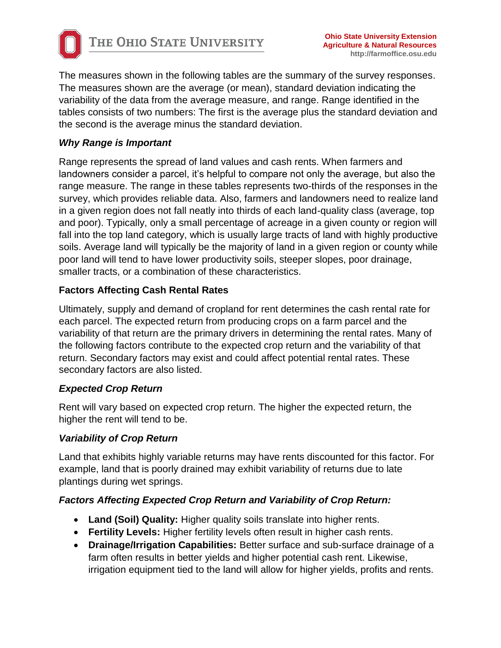

The measures shown in the following tables are the summary of the survey responses. The measures shown are the average (or mean), standard deviation indicating the variability of the data from the average measure, and range. Range identified in the tables consists of two numbers: The first is the average plus the standard deviation and the second is the average minus the standard deviation.

# *Why Range is Important*

Range represents the spread of land values and cash rents. When farmers and landowners consider a parcel, it's helpful to compare not only the average, but also the range measure. The range in these tables represents two-thirds of the responses in the survey, which provides reliable data. Also, farmers and landowners need to realize land in a given region does not fall neatly into thirds of each land-quality class (average, top and poor). Typically, only a small percentage of acreage in a given county or region will fall into the top land category, which is usually large tracts of land with highly productive soils. Average land will typically be the majority of land in a given region or county while poor land will tend to have lower productivity soils, steeper slopes, poor drainage, smaller tracts, or a combination of these characteristics.

# **Factors Affecting Cash Rental Rates**

Ultimately, supply and demand of cropland for rent determines the cash rental rate for each parcel. The expected return from producing crops on a farm parcel and the variability of that return are the primary drivers in determining the rental rates. Many of the following factors contribute to the expected crop return and the variability of that return. Secondary factors may exist and could affect potential rental rates. These secondary factors are also listed.

#### *Expected Crop Return*

Rent will vary based on expected crop return. The higher the expected return, the higher the rent will tend to be.

#### *Variability of Crop Return*

Land that exhibits highly variable returns may have rents discounted for this factor. For example, land that is poorly drained may exhibit variability of returns due to late plantings during wet springs.

#### *Factors Affecting Expected Crop Return and Variability of Crop Return:*

- **Land (Soil) Quality:** Higher quality soils translate into higher rents.
- **Fertility Levels:** Higher fertility levels often result in higher cash rents.
- **Drainage/Irrigation Capabilities:** Better surface and sub-surface drainage of a farm often results in better yields and higher potential cash rent. Likewise, irrigation equipment tied to the land will allow for higher yields, profits and rents.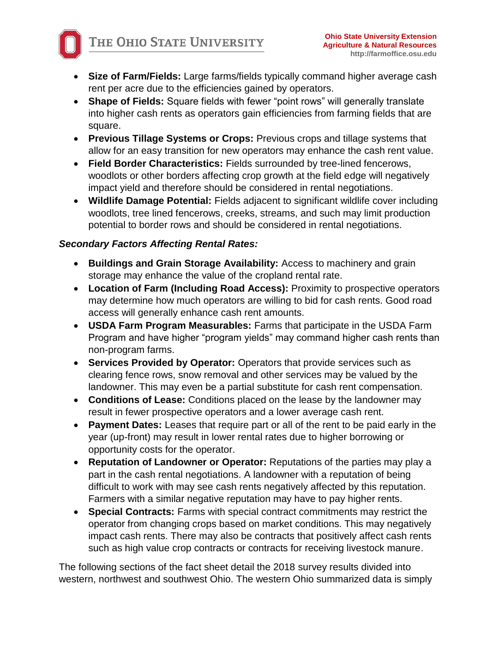- **Size of Farm/Fields:** Large farms/fields typically command higher average cash rent per acre due to the efficiencies gained by operators.
- **Shape of Fields:** Square fields with fewer "point rows" will generally translate into higher cash rents as operators gain efficiencies from farming fields that are square.
- **Previous Tillage Systems or Crops:** Previous crops and tillage systems that allow for an easy transition for new operators may enhance the cash rent value.
- **Field Border Characteristics:** Fields surrounded by tree-lined fencerows, woodlots or other borders affecting crop growth at the field edge will negatively impact yield and therefore should be considered in rental negotiations.
- **Wildlife Damage Potential:** Fields adjacent to significant wildlife cover including woodlots, tree lined fencerows, creeks, streams, and such may limit production potential to border rows and should be considered in rental negotiations.

# *Secondary Factors Affecting Rental Rates:*

- **Buildings and Grain Storage Availability:** Access to machinery and grain storage may enhance the value of the cropland rental rate.
- **Location of Farm (Including Road Access):** Proximity to prospective operators may determine how much operators are willing to bid for cash rents. Good road access will generally enhance cash rent amounts.
- **USDA Farm Program Measurables:** Farms that participate in the USDA Farm Program and have higher "program yields" may command higher cash rents than non-program farms.
- **Services Provided by Operator:** Operators that provide services such as clearing fence rows, snow removal and other services may be valued by the landowner. This may even be a partial substitute for cash rent compensation.
- **Conditions of Lease:** Conditions placed on the lease by the landowner may result in fewer prospective operators and a lower average cash rent.
- **Payment Dates:** Leases that require part or all of the rent to be paid early in the year (up-front) may result in lower rental rates due to higher borrowing or opportunity costs for the operator.
- **Reputation of Landowner or Operator:** Reputations of the parties may play a part in the cash rental negotiations. A landowner with a reputation of being difficult to work with may see cash rents negatively affected by this reputation. Farmers with a similar negative reputation may have to pay higher rents.
- **Special Contracts:** Farms with special contract commitments may restrict the operator from changing crops based on market conditions. This may negatively impact cash rents. There may also be contracts that positively affect cash rents such as high value crop contracts or contracts for receiving livestock manure.

The following sections of the fact sheet detail the 2018 survey results divided into western, northwest and southwest Ohio. The western Ohio summarized data is simply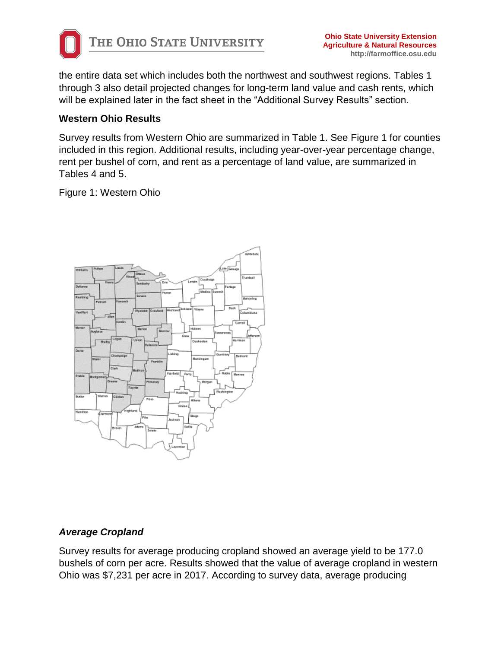

the entire data set which includes both the northwest and southwest regions. Tables 1 through 3 also detail projected changes for long-term land value and cash rents, which will be explained later in the fact sheet in the "Additional Survey Results" section.

### **Western Ohio Results**

Survey results from Western Ohio are summarized in Table 1. See Figure 1 for counties included in this region. Additional results, including year-over-year percentage change, rent per bushel of corn, and rent as a percentage of land value, are summarized in Tables 4 and 5.

Figure 1: Western Ohio



# *Average Cropland*

Survey results for average producing cropland showed an average yield to be 177.0 bushels of corn per acre. Results showed that the value of average cropland in western Ohio was \$7,231 per acre in 2017. According to survey data, average producing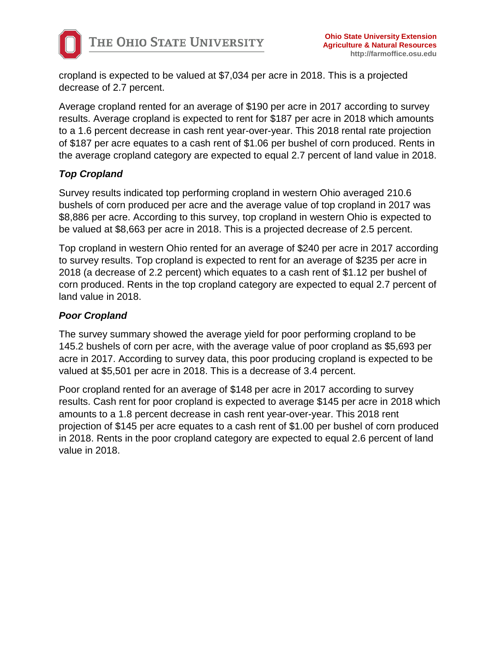cropland is expected to be valued at \$7,034 per acre in 2018. This is a projected decrease of 2.7 percent.

Average cropland rented for an average of \$190 per acre in 2017 according to survey results. Average cropland is expected to rent for \$187 per acre in 2018 which amounts to a 1.6 percent decrease in cash rent year-over-year. This 2018 rental rate projection of \$187 per acre equates to a cash rent of \$1.06 per bushel of corn produced. Rents in the average cropland category are expected to equal 2.7 percent of land value in 2018.

# *Top Cropland*

Survey results indicated top performing cropland in western Ohio averaged 210.6 bushels of corn produced per acre and the average value of top cropland in 2017 was \$8,886 per acre. According to this survey, top cropland in western Ohio is expected to be valued at \$8,663 per acre in 2018. This is a projected decrease of 2.5 percent.

Top cropland in western Ohio rented for an average of \$240 per acre in 2017 according to survey results. Top cropland is expected to rent for an average of \$235 per acre in 2018 (a decrease of 2.2 percent) which equates to a cash rent of \$1.12 per bushel of corn produced. Rents in the top cropland category are expected to equal 2.7 percent of land value in 2018.

# *Poor Cropland*

The survey summary showed the average yield for poor performing cropland to be 145.2 bushels of corn per acre, with the average value of poor cropland as \$5,693 per acre in 2017. According to survey data, this poor producing cropland is expected to be valued at \$5,501 per acre in 2018. This is a decrease of 3.4 percent.

Poor cropland rented for an average of \$148 per acre in 2017 according to survey results. Cash rent for poor cropland is expected to average \$145 per acre in 2018 which amounts to a 1.8 percent decrease in cash rent year-over-year. This 2018 rent projection of \$145 per acre equates to a cash rent of \$1.00 per bushel of corn produced in 2018. Rents in the poor cropland category are expected to equal 2.6 percent of land value in 2018.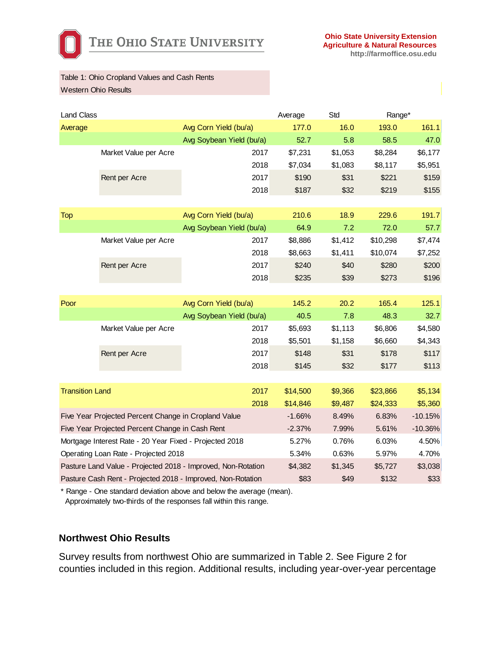

Table 1: Ohio Cropland Values and Cash Rents Western Ohio Results

| <b>Land Class</b>                                    |                                                         |                                                              | Std<br>Average |         | Range*    |           |
|------------------------------------------------------|---------------------------------------------------------|--------------------------------------------------------------|----------------|---------|-----------|-----------|
| Average                                              |                                                         | Avg Corn Yield (bu/a)                                        | 177.0          | 16.0    | 193.0     | 161.1     |
|                                                      |                                                         | Avg Soybean Yield (bu/a)                                     | 52.7           | 5.8     | 58.5      | 47.0      |
|                                                      | Market Value per Acre                                   | 2017                                                         | \$7,231        | \$1,053 | \$8,284   | \$6,177   |
|                                                      |                                                         | 2018                                                         | \$7,034        | \$1,083 | \$8,117   | \$5,951   |
|                                                      | Rent per Acre                                           | 2017                                                         | \$190          | \$31    | \$221     | \$159     |
|                                                      |                                                         | 2018                                                         | \$187          | \$32    | \$219     | \$155     |
|                                                      |                                                         |                                                              |                |         |           |           |
| <b>Top</b>                                           |                                                         | Avg Corn Yield (bu/a)                                        | 210.6          | 18.9    | 229.6     | 191.7     |
|                                                      |                                                         | Avg Soybean Yield (bu/a)                                     | 64.9           | 7.2     | 72.0      | 57.7      |
|                                                      | Market Value per Acre                                   | 2017                                                         | \$8,886        | \$1,412 | \$10,298  | \$7,474   |
|                                                      |                                                         | 2018                                                         | \$8,663        | \$1,411 | \$10,074  | \$7,252   |
|                                                      | Rent per Acre                                           | 2017                                                         | \$240          | \$40    | \$280     | \$200     |
|                                                      |                                                         | 2018                                                         | \$235          | \$39    | \$273     | \$196     |
|                                                      |                                                         |                                                              |                |         |           |           |
| Poor                                                 |                                                         | Avg Corn Yield (bu/a)                                        | 145.2          | 20.2    | 165.4     | 125.1     |
|                                                      |                                                         | Avg Soybean Yield (bu/a)                                     | 40.5           | 7.8     | 48.3      | 32.7      |
|                                                      | Market Value per Acre                                   | 2017                                                         | \$5,693        | \$1,113 | \$6,806   | \$4,580   |
|                                                      |                                                         | 2018                                                         | \$5,501        | \$1,158 | \$6,660   | \$4,343   |
|                                                      | Rent per Acre                                           | 2017                                                         | \$148          | \$31    | \$178     | \$117     |
|                                                      |                                                         | 2018                                                         | \$145          | \$32    | \$177     | \$113     |
|                                                      |                                                         |                                                              |                |         |           |           |
| <b>Transition Land</b>                               |                                                         | 2017                                                         | \$14,500       | \$9,366 | \$23,866  | \$5,134   |
|                                                      |                                                         | 2018                                                         | \$14,846       | \$9,487 | \$24,333  | \$5,360   |
| Five Year Projected Percent Change in Cropland Value |                                                         |                                                              | $-1.66%$       | 8.49%   | 6.83%     | $-10.15%$ |
|                                                      | Five Year Projected Percent Change in Cash Rent         | $-2.37%$                                                     | 7.99%          | 5.61%   | $-10.36%$ |           |
|                                                      | Mortgage Interest Rate - 20 Year Fixed - Projected 2018 | 5.27%                                                        | 0.76%          | 6.03%   | 4.50%     |           |
|                                                      | Operating Loan Rate - Projected 2018                    |                                                              | 5.34%          | 0.63%   | 5.97%     | 4.70%     |
|                                                      |                                                         | Pasture Land Value - Projected 2018 - Improved, Non-Rotation | \$4,382        | \$1,345 | \$5,727   | \$3,038   |
|                                                      |                                                         | Pasture Cash Rent - Projected 2018 - Improved, Non-Rotation  | \$83           | \$49    | \$132     | \$33      |

\* Range - One standard deviation above and below the average (mean). Approximately two-thirds of the responses fall within this range.

#### **Northwest Ohio Results**

Survey results from northwest Ohio are summarized in Table 2. See Figure 2 for counties included in this region. Additional results, including year-over-year percentage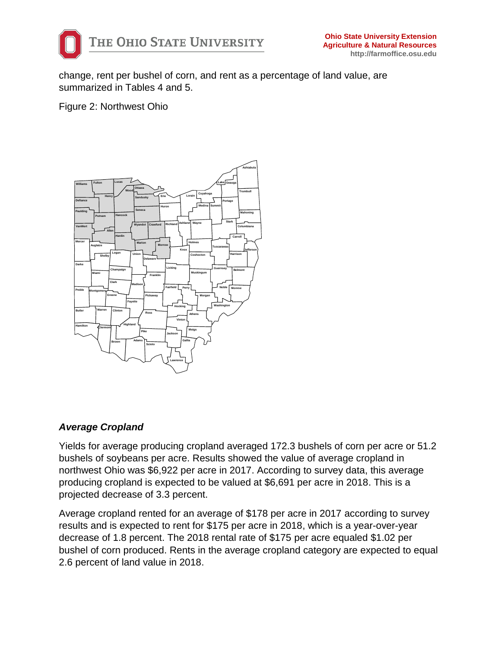

change, rent per bushel of corn, and rent as a percentage of land value, are summarized in Tables 4 and 5.

Figure 2: Northwest Ohio



# *Average Cropland*

Yields for average producing cropland averaged 172.3 bushels of corn per acre or 51.2 bushels of soybeans per acre. Results showed the value of average cropland in northwest Ohio was \$6,922 per acre in 2017. According to survey data, this average producing cropland is expected to be valued at \$6,691 per acre in 2018. This is a projected decrease of 3.3 percent.

Average cropland rented for an average of \$178 per acre in 2017 according to survey results and is expected to rent for \$175 per acre in 2018, which is a year-over-year decrease of 1.8 percent. The 2018 rental rate of \$175 per acre equaled \$1.02 per bushel of corn produced. Rents in the average cropland category are expected to equal 2.6 percent of land value in 2018.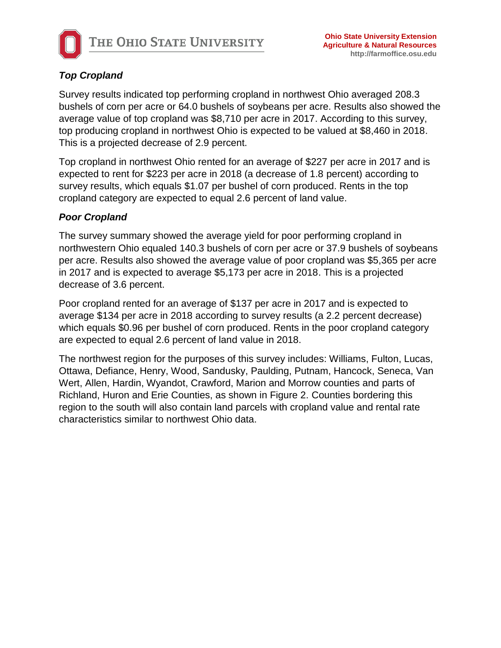

# *Top Cropland*

Survey results indicated top performing cropland in northwest Ohio averaged 208.3 bushels of corn per acre or 64.0 bushels of soybeans per acre. Results also showed the average value of top cropland was \$8,710 per acre in 2017. According to this survey, top producing cropland in northwest Ohio is expected to be valued at \$8,460 in 2018. This is a projected decrease of 2.9 percent.

Top cropland in northwest Ohio rented for an average of \$227 per acre in 2017 and is expected to rent for \$223 per acre in 2018 (a decrease of 1.8 percent) according to survey results, which equals \$1.07 per bushel of corn produced. Rents in the top cropland category are expected to equal 2.6 percent of land value.

### *Poor Cropland*

The survey summary showed the average yield for poor performing cropland in northwestern Ohio equaled 140.3 bushels of corn per acre or 37.9 bushels of soybeans per acre. Results also showed the average value of poor cropland was \$5,365 per acre in 2017 and is expected to average \$5,173 per acre in 2018. This is a projected decrease of 3.6 percent.

Poor cropland rented for an average of \$137 per acre in 2017 and is expected to average \$134 per acre in 2018 according to survey results (a 2.2 percent decrease) which equals \$0.96 per bushel of corn produced. Rents in the poor cropland category are expected to equal 2.6 percent of land value in 2018.

The northwest region for the purposes of this survey includes: Williams, Fulton, Lucas, Ottawa, Defiance, Henry, Wood, Sandusky, Paulding, Putnam, Hancock, Seneca, Van Wert, Allen, Hardin, Wyandot, Crawford, Marion and Morrow counties and parts of Richland, Huron and Erie Counties, as shown in Figure 2. Counties bordering this region to the south will also contain land parcels with cropland value and rental rate characteristics similar to northwest Ohio data.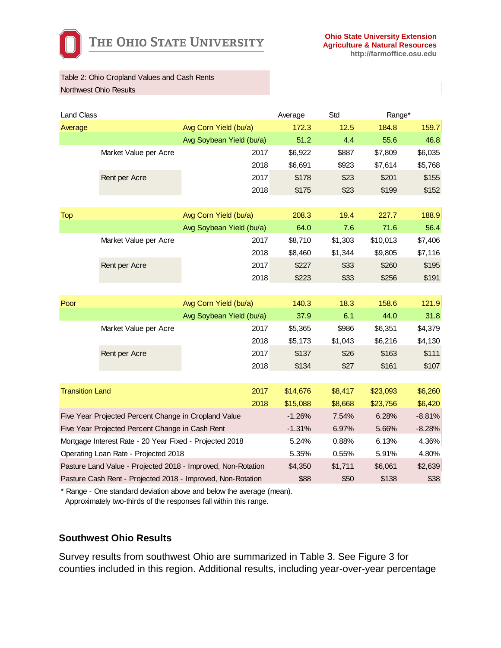

#### Table 2: Ohio Cropland Values and Cash Rents Northwest Ohio Results

| <b>Land Class</b>                                    |                                                         |                                                              | Average  | Std     | Range*   |          |
|------------------------------------------------------|---------------------------------------------------------|--------------------------------------------------------------|----------|---------|----------|----------|
| Average                                              |                                                         | Avg Corn Yield (bu/a)                                        | 172.3    | 12.5    | 184.8    | 159.7    |
|                                                      |                                                         | Avg Soybean Yield (bu/a)                                     | 51.2     | 4.4     | 55.6     | 46.8     |
|                                                      | Market Value per Acre                                   | 2017                                                         | \$6,922  | \$887   | \$7,809  | \$6,035  |
|                                                      |                                                         | 2018                                                         | \$6,691  | \$923   | \$7,614  | \$5,768  |
|                                                      | Rent per Acre                                           | 2017                                                         | \$178    | \$23    | \$201    | \$155    |
|                                                      |                                                         | 2018                                                         | \$175    | \$23    | \$199    | \$152    |
|                                                      |                                                         |                                                              |          |         |          |          |
| <b>Top</b>                                           |                                                         | Avg Corn Yield (bu/a)                                        | 208.3    | 19.4    | 227.7    | 188.9    |
|                                                      |                                                         | Avg Soybean Yield (bu/a)                                     | 64.0     | 7.6     | 71.6     | 56.4     |
|                                                      | Market Value per Acre                                   | 2017                                                         | \$8,710  | \$1,303 | \$10,013 | \$7,406  |
|                                                      |                                                         | 2018                                                         | \$8,460  | \$1,344 | \$9,805  | \$7,116  |
|                                                      | Rent per Acre                                           | 2017                                                         | \$227    | \$33    | \$260    | \$195    |
|                                                      |                                                         | 2018                                                         | \$223    | \$33    | \$256    | \$191    |
|                                                      |                                                         |                                                              |          |         |          |          |
| Poor                                                 |                                                         | Avg Corn Yield (bu/a)                                        | 140.3    | 18.3    | 158.6    | 121.9    |
|                                                      |                                                         | Avg Soybean Yield (bu/a)                                     | 37.9     | 6.1     | 44.0     | 31.8     |
|                                                      | Market Value per Acre                                   | 2017                                                         | \$5,365  | \$986   | \$6,351  | \$4,379  |
|                                                      |                                                         | 2018                                                         | \$5,173  | \$1,043 | \$6,216  | \$4,130  |
|                                                      | Rent per Acre                                           | 2017                                                         | \$137    | \$26    | \$163    | \$111    |
|                                                      |                                                         | 2018                                                         | \$134    | \$27    | \$161    | \$107    |
|                                                      |                                                         |                                                              |          |         |          |          |
| <b>Transition Land</b>                               |                                                         | 2017                                                         | \$14,676 | \$8,417 | \$23,093 | \$6,260  |
|                                                      |                                                         | 2018                                                         | \$15,088 | \$8,668 | \$23,756 | \$6,420  |
| Five Year Projected Percent Change in Cropland Value |                                                         |                                                              | $-1.26%$ | 7.54%   | 6.28%    | $-8.81%$ |
|                                                      | Five Year Projected Percent Change in Cash Rent         |                                                              | $-1.31%$ | 6.97%   | 5.66%    | $-8.28%$ |
|                                                      | Mortgage Interest Rate - 20 Year Fixed - Projected 2018 |                                                              | 5.24%    | 0.88%   | 6.13%    | 4.36%    |
|                                                      | Operating Loan Rate - Projected 2018                    |                                                              | 5.35%    | 0.55%   | 5.91%    | 4.80%    |
|                                                      |                                                         | Pasture Land Value - Projected 2018 - Improved, Non-Rotation | \$4,350  | \$1,711 | \$6,061  | \$2,639  |
|                                                      |                                                         | Pasture Cash Rent - Projected 2018 - Improved, Non-Rotation  | \$88     | \$50    | \$138    | \$38     |

\* Range - One standard deviation above and below the average (mean). Approximately two-thirds of the responses fall within this range.

#### **Southwest Ohio Results**

Survey results from southwest Ohio are summarized in Table 3. See Figure 3 for counties included in this region. Additional results, including year-over-year percentage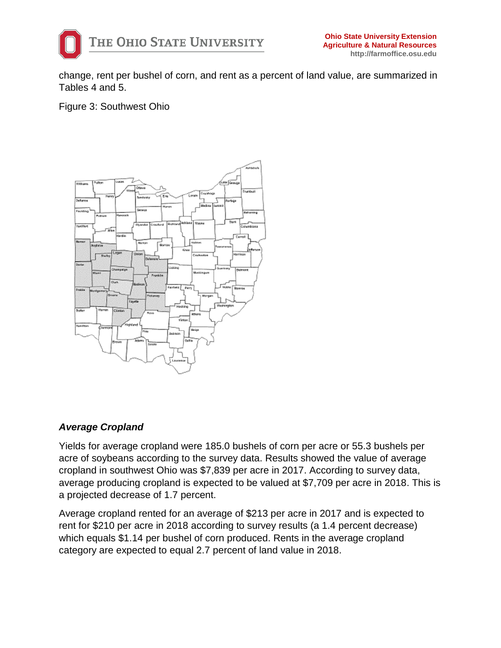

change, rent per bushel of corn, and rent as a percent of land value, are summarized in Tables 4 and 5.

Figure 3: Southwest Ohio



# *Average Cropland*

Yields for average cropland were 185.0 bushels of corn per acre or 55.3 bushels per acre of soybeans according to the survey data. Results showed the value of average cropland in southwest Ohio was \$7,839 per acre in 2017. According to survey data, average producing cropland is expected to be valued at \$7,709 per acre in 2018. This is a projected decrease of 1.7 percent.

Average cropland rented for an average of \$213 per acre in 2017 and is expected to rent for \$210 per acre in 2018 according to survey results (a 1.4 percent decrease) which equals \$1.14 per bushel of corn produced. Rents in the average cropland category are expected to equal 2.7 percent of land value in 2018.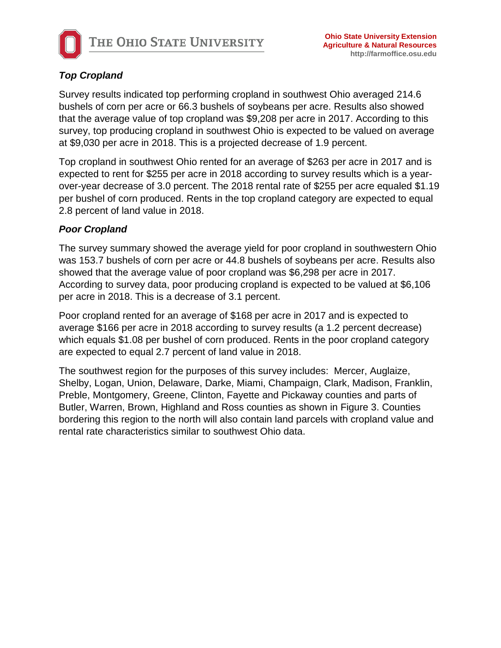

# *Top Cropland*

Survey results indicated top performing cropland in southwest Ohio averaged 214.6 bushels of corn per acre or 66.3 bushels of soybeans per acre. Results also showed that the average value of top cropland was \$9,208 per acre in 2017. According to this survey, top producing cropland in southwest Ohio is expected to be valued on average at \$9,030 per acre in 2018. This is a projected decrease of 1.9 percent.

Top cropland in southwest Ohio rented for an average of \$263 per acre in 2017 and is expected to rent for \$255 per acre in 2018 according to survey results which is a yearover-year decrease of 3.0 percent. The 2018 rental rate of \$255 per acre equaled \$1.19 per bushel of corn produced. Rents in the top cropland category are expected to equal 2.8 percent of land value in 2018.

# *Poor Cropland*

The survey summary showed the average yield for poor cropland in southwestern Ohio was 153.7 bushels of corn per acre or 44.8 bushels of soybeans per acre. Results also showed that the average value of poor cropland was \$6,298 per acre in 2017. According to survey data, poor producing cropland is expected to be valued at \$6,106 per acre in 2018. This is a decrease of 3.1 percent.

Poor cropland rented for an average of \$168 per acre in 2017 and is expected to average \$166 per acre in 2018 according to survey results (a 1.2 percent decrease) which equals \$1.08 per bushel of corn produced. Rents in the poor cropland category are expected to equal 2.7 percent of land value in 2018.

The southwest region for the purposes of this survey includes: Mercer, Auglaize, Shelby, Logan, Union, Delaware, Darke, Miami, Champaign, Clark, Madison, Franklin, Preble, Montgomery, Greene, Clinton, Fayette and Pickaway counties and parts of Butler, Warren, Brown, Highland and Ross counties as shown in Figure 3. Counties bordering this region to the north will also contain land parcels with cropland value and rental rate characteristics similar to southwest Ohio data.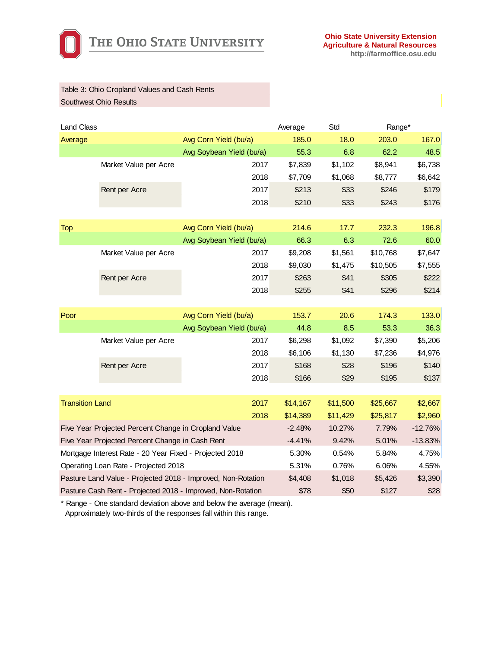

#### Table 3: Ohio Cropland Values and Cash Rents Southwest Ohio Results

| <b>Land Class</b>      |                                                         | Average                                                      |          | Std      | Range*    |         |
|------------------------|---------------------------------------------------------|--------------------------------------------------------------|----------|----------|-----------|---------|
| Average                |                                                         | Avg Corn Yield (bu/a)                                        | 185.0    | 18.0     | 203.0     | 167.0   |
|                        |                                                         | Avg Soybean Yield (bu/a)                                     | 55.3     | 6.8      | 62.2      | 48.5    |
|                        | Market Value per Acre                                   | 2017                                                         | \$7,839  | \$1,102  | \$8,941   | \$6,738 |
|                        |                                                         | 2018                                                         | \$7,709  | \$1,068  | \$8,777   | \$6,642 |
|                        | Rent per Acre                                           | 2017                                                         | \$213    | \$33     | \$246     | \$179   |
|                        |                                                         | 2018                                                         | \$210    | \$33     | \$243     | \$176   |
|                        |                                                         |                                                              |          |          |           |         |
| <b>Top</b>             |                                                         | Avg Corn Yield (bu/a)                                        | 214.6    | 17.7     | 232.3     | 196.8   |
|                        |                                                         | Avg Soybean Yield (bu/a)                                     | 66.3     | 6.3      | 72.6      | 60.0    |
|                        | Market Value per Acre                                   | 2017                                                         | \$9,208  | \$1,561  | \$10,768  | \$7,647 |
|                        |                                                         | 2018                                                         | \$9,030  | \$1,475  | \$10,505  | \$7,555 |
|                        | Rent per Acre                                           | 2017                                                         | \$263    | \$41     | \$305     | \$222   |
|                        |                                                         | 2018                                                         | \$255    | \$41     | \$296     | \$214   |
|                        |                                                         |                                                              |          |          |           |         |
| Poor                   |                                                         | Avg Corn Yield (bu/a)                                        | 153.7    | 20.6     | 174.3     | 133.0   |
|                        |                                                         | Avg Soybean Yield (bu/a)                                     | 44.8     | 8.5      | 53.3      | 36.3    |
|                        | Market Value per Acre                                   | 2017                                                         | \$6,298  | \$1,092  | \$7,390   | \$5,206 |
|                        |                                                         | 2018                                                         | \$6,106  | \$1,130  | \$7,236   | \$4,976 |
|                        | Rent per Acre                                           | 2017                                                         | \$168    | \$28     | \$196     | \$140   |
|                        |                                                         | 2018                                                         | \$166    | \$29     | \$195     | \$137   |
|                        |                                                         |                                                              |          |          |           |         |
| <b>Transition Land</b> |                                                         | 2017                                                         | \$14,167 | \$11,500 | \$25,667  | \$2,667 |
|                        |                                                         | 2018                                                         | \$14,389 | \$11,429 | \$25,817  | \$2,960 |
|                        | Five Year Projected Percent Change in Cropland Value    | $-2.48%$                                                     | 10.27%   | 7.79%    | $-12.76%$ |         |
|                        | Five Year Projected Percent Change in Cash Rent         | $-4.41%$                                                     | 9.42%    | 5.01%    | $-13.83%$ |         |
|                        | Mortgage Interest Rate - 20 Year Fixed - Projected 2018 | 5.30%                                                        | 0.54%    | 5.84%    | 4.75%     |         |
|                        | Operating Loan Rate - Projected 2018                    |                                                              | 5.31%    | 0.76%    | 6.06%     | 4.55%   |
|                        |                                                         | Pasture Land Value - Projected 2018 - Improved, Non-Rotation | \$4,408  | \$1,018  | \$5,426   | \$3,390 |
|                        |                                                         | Pasture Cash Rent - Projected 2018 - Improved, Non-Rotation  | \$78     | \$50     | \$127     | \$28    |

\* Range - One standard deviation above and below the average (mean). Approximately two-thirds of the responses fall within this range.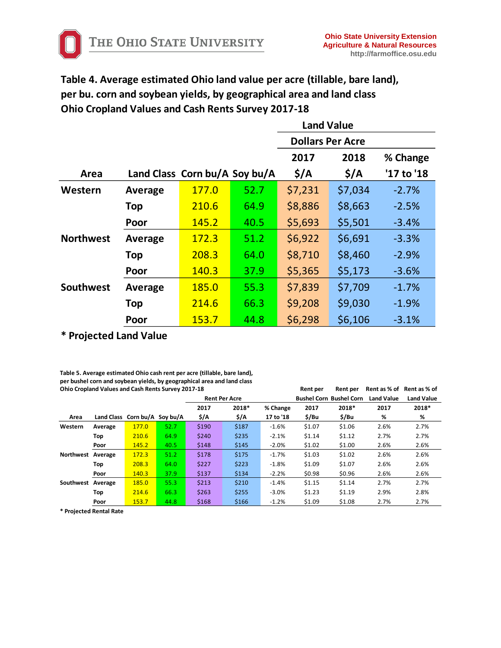**Table 4. Average estimated Ohio land value per acre (tillable, bare land), per bu. corn and soybean yields, by geographical area and land class Ohio Cropland Values and Cash Rents Survey 2017-18**

|                  |                               |              |      | <b>Land Value</b>       |                  |            |  |  |
|------------------|-------------------------------|--------------|------|-------------------------|------------------|------------|--|--|
|                  |                               |              |      | <b>Dollars Per Acre</b> |                  |            |  |  |
|                  |                               |              |      | 2017                    | 2018             | % Change   |  |  |
| Area             | Land Class Corn bu/A Soy bu/A |              |      | $\frac{1}{2}$           | $\frac{1}{2}$ /A | '17 to '18 |  |  |
| Western          | Average                       | 177.0        | 52.7 | \$7,231                 | \$7,034          | $-2.7%$    |  |  |
|                  | <b>Top</b>                    | 210.6        | 64.9 | \$8,886                 | \$8,663          | $-2.5%$    |  |  |
|                  | Poor                          | 145.2        | 40.5 | \$5,693                 | \$5,501          | $-3.4%$    |  |  |
| <b>Northwest</b> | Average                       | 172.3        | 51.2 | \$6,922                 | \$6,691          | $-3.3%$    |  |  |
|                  | <b>Top</b>                    | 208.3        | 64.0 | \$8,710                 | \$8,460          | $-2.9%$    |  |  |
|                  | Poor                          | 140.3        | 37.9 | \$5,365                 | \$5,173          | $-3.6%$    |  |  |
| <b>Southwest</b> | Average                       | <b>185.0</b> | 55.3 | \$7,839                 | \$7,709          | $-1.7%$    |  |  |
|                  | Top                           | 214.6        | 66.3 | \$9,208                 | \$9,030          | $-1.9%$    |  |  |
|                  | Poor                          | 153.7        | 44.8 | \$6,298                 | \$6,106          | $-3.1%$    |  |  |

**\* Projected Land Value**

**Table 5. Average estimated Ohio cash rent per acre (tillable, bare land), per bushel corn and soybean yields, by geographical area and land class Ohio Cropland Values and Cash Rents Survey 2017-18 Rent per Rent per Rent as % of Rent as % of**

| <u>omo eropiana varaco ana easir nento sarvey 2017 - 20</u> |         |                               |      |                      |       |           | .                              | .                 | $1.5.11$ , $0.970$ , $0.11$ , $0.970$ , $0.1$ |       |
|-------------------------------------------------------------|---------|-------------------------------|------|----------------------|-------|-----------|--------------------------------|-------------------|-----------------------------------------------|-------|
|                                                             |         |                               |      | <b>Rent Per Acre</b> |       |           | <b>Bushel Corn Bushel Corn</b> | <b>Land Value</b> | <b>Land Value</b>                             |       |
|                                                             |         |                               |      | 2017                 | 2018* | % Change  | 2017                           | 2018*             | 2017                                          | 2018* |
| Area                                                        |         | Land Class Corn bu/A Soy bu/A |      | \$/A                 | \$/A  | 17 to '18 | \$/Bu                          | \$/Bu             | %                                             | %     |
| Western                                                     | Average | 177.0                         | 52.7 | \$190                | \$187 | $-1.6%$   | \$1.07                         | \$1.06            | 2.6%                                          | 2.7%  |
|                                                             | Top     | 210.6                         | 64.9 | \$240                | \$235 | $-2.1%$   | \$1.14                         | \$1.12            | 2.7%                                          | 2.7%  |
|                                                             | Poor    | 145.2                         | 40.5 | \$148                | \$145 | $-2.0%$   | \$1.02                         | \$1.00            | 2.6%                                          | 2.6%  |
| Northwest Average                                           |         | 172.3                         | 51.2 | \$178                | \$175 | $-1.7%$   | \$1.03                         | \$1.02            | 2.6%                                          | 2.6%  |
|                                                             | Top     | 208.3                         | 64.0 | \$227                | \$223 | $-1.8%$   | \$1.09                         | \$1.07            | 2.6%                                          | 2.6%  |
|                                                             | Poor    | 140.3                         | 37.9 | \$137                | \$134 | $-2.2%$   | \$0.98                         | \$0.96            | 2.6%                                          | 2.6%  |
| Southwest Average                                           |         | 185.0                         | 55.3 | \$213                | \$210 | $-1.4%$   | \$1.15                         | \$1.14            | 2.7%                                          | 2.7%  |
|                                                             | Top     | 214.6                         | 66.3 | \$263                | \$255 | $-3.0%$   | \$1.23                         | \$1.19            | 2.9%                                          | 2.8%  |
|                                                             | Poor    | 153.7                         | 44.8 | \$168                | \$166 | $-1.2%$   | \$1.09                         | \$1.08            | 2.7%                                          | 2.7%  |

**\* Projected Rental Rate**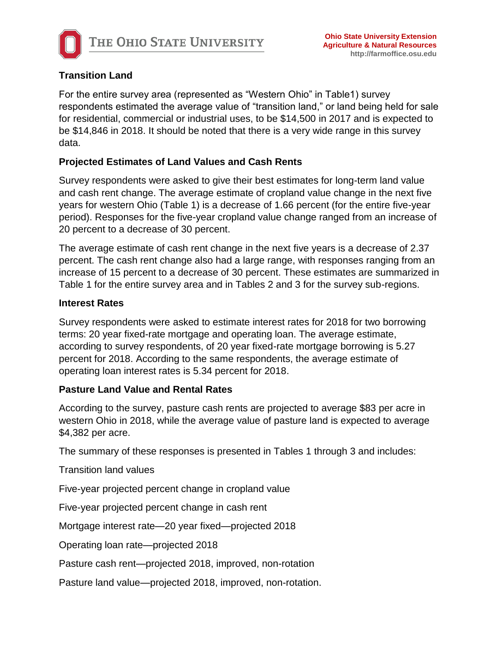

# **Transition Land**

For the entire survey area (represented as "Western Ohio" in Table1) survey respondents estimated the average value of "transition land," or land being held for sale for residential, commercial or industrial uses, to be \$14,500 in 2017 and is expected to be \$14,846 in 2018. It should be noted that there is a very wide range in this survey data.

# **Projected Estimates of Land Values and Cash Rents**

Survey respondents were asked to give their best estimates for long-term land value and cash rent change. The average estimate of cropland value change in the next five years for western Ohio (Table 1) is a decrease of 1.66 percent (for the entire five-year period). Responses for the five-year cropland value change ranged from an increase of 20 percent to a decrease of 30 percent.

The average estimate of cash rent change in the next five years is a decrease of 2.37 percent. The cash rent change also had a large range, with responses ranging from an increase of 15 percent to a decrease of 30 percent. These estimates are summarized in Table 1 for the entire survey area and in Tables 2 and 3 for the survey sub-regions.

# **Interest Rates**

Survey respondents were asked to estimate interest rates for 2018 for two borrowing terms: 20 year fixed-rate mortgage and operating loan. The average estimate, according to survey respondents, of 20 year fixed-rate mortgage borrowing is 5.27 percent for 2018. According to the same respondents, the average estimate of operating loan interest rates is 5.34 percent for 2018.

# **Pasture Land Value and Rental Rates**

According to the survey, pasture cash rents are projected to average \$83 per acre in western Ohio in 2018, while the average value of pasture land is expected to average \$4,382 per acre.

The summary of these responses is presented in Tables 1 through 3 and includes:

Transition land values

Five-year projected percent change in cropland value

Five-year projected percent change in cash rent

Mortgage interest rate—20 year fixed—projected 2018

Operating loan rate—projected 2018

Pasture cash rent—projected 2018, improved, non-rotation

Pasture land value—projected 2018, improved, non-rotation.